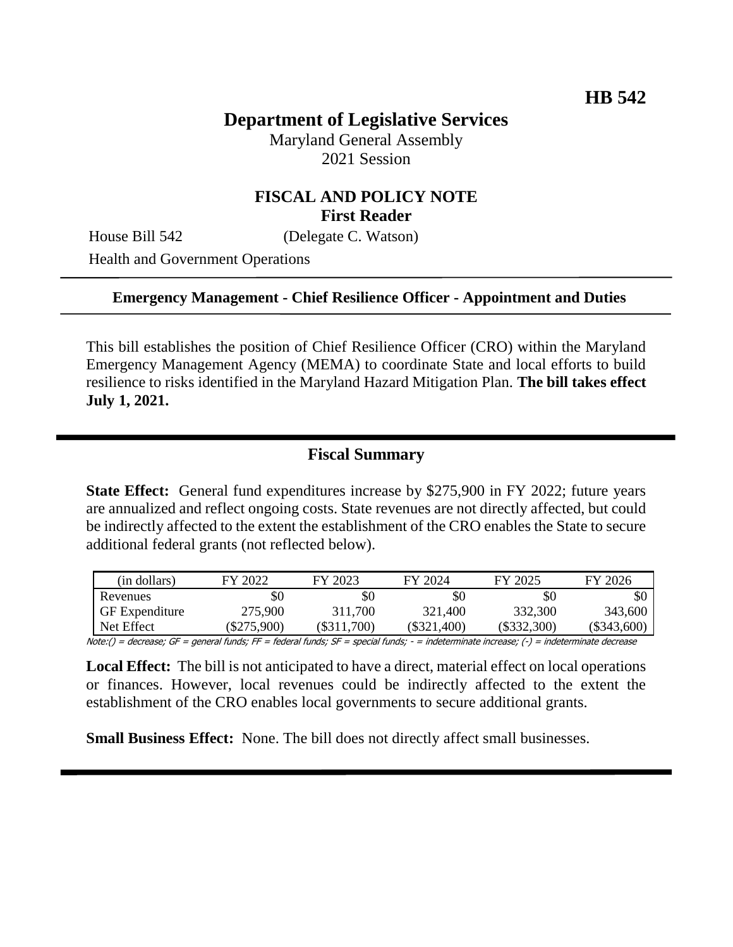# **Department of Legislative Services**

Maryland General Assembly 2021 Session

## **FISCAL AND POLICY NOTE First Reader**

House Bill 542 (Delegate C. Watson)

Health and Government Operations

#### **Emergency Management - Chief Resilience Officer - Appointment and Duties**

This bill establishes the position of Chief Resilience Officer (CRO) within the Maryland Emergency Management Agency (MEMA) to coordinate State and local efforts to build resilience to risks identified in the Maryland Hazard Mitigation Plan. **The bill takes effect July 1, 2021.**

#### **Fiscal Summary**

**State Effect:** General fund expenditures increase by \$275,900 in FY 2022; future years are annualized and reflect ongoing costs. State revenues are not directly affected, but could be indirectly affected to the extent the establishment of the CRO enables the State to secure additional federal grants (not reflected below).

| (in dollars)          | FY 2022     | FY 2023       | FY 2024       | FY 2025       | FY 2026       |
|-----------------------|-------------|---------------|---------------|---------------|---------------|
| Revenues              | \$0         | \$0           | \$0           |               |               |
| <b>GF</b> Expenditure | 275,900     | 311,700       | 321,400       | 332,300       | 343,600       |
| Net Effect            | $\$275,900$ | $(\$311,700)$ | $(\$321,400)$ | $(\$332,300)$ | $(\$343,600)$ |

Note:() = decrease; GF = general funds; FF = federal funds; SF = special funds; - = indeterminate increase; (-) = indeterminate decrease

**Local Effect:** The bill is not anticipated to have a direct, material effect on local operations or finances. However, local revenues could be indirectly affected to the extent the establishment of the CRO enables local governments to secure additional grants.

**Small Business Effect:** None. The bill does not directly affect small businesses.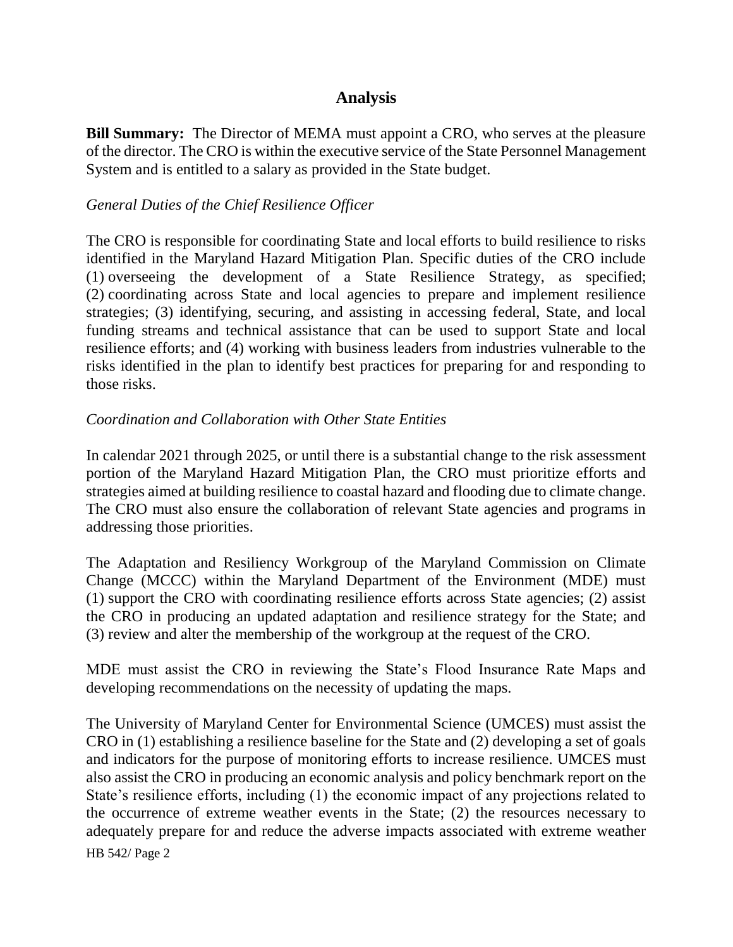## **Analysis**

**Bill Summary:** The Director of MEMA must appoint a CRO, who serves at the pleasure of the director. The CRO is within the executive service of the State Personnel Management System and is entitled to a salary as provided in the State budget.

#### *General Duties of the Chief Resilience Officer*

The CRO is responsible for coordinating State and local efforts to build resilience to risks identified in the Maryland Hazard Mitigation Plan. Specific duties of the CRO include (1) overseeing the development of a State Resilience Strategy, as specified; (2) coordinating across State and local agencies to prepare and implement resilience strategies; (3) identifying, securing, and assisting in accessing federal, State, and local funding streams and technical assistance that can be used to support State and local resilience efforts; and (4) working with business leaders from industries vulnerable to the risks identified in the plan to identify best practices for preparing for and responding to those risks.

#### *Coordination and Collaboration with Other State Entities*

In calendar 2021 through 2025, or until there is a substantial change to the risk assessment portion of the Maryland Hazard Mitigation Plan, the CRO must prioritize efforts and strategies aimed at building resilience to coastal hazard and flooding due to climate change. The CRO must also ensure the collaboration of relevant State agencies and programs in addressing those priorities.

The Adaptation and Resiliency Workgroup of the Maryland Commission on Climate Change (MCCC) within the Maryland Department of the Environment (MDE) must (1) support the CRO with coordinating resilience efforts across State agencies; (2) assist the CRO in producing an updated adaptation and resilience strategy for the State; and (3) review and alter the membership of the workgroup at the request of the CRO.

MDE must assist the CRO in reviewing the State's Flood Insurance Rate Maps and developing recommendations on the necessity of updating the maps.

HB 542/ Page 2 The University of Maryland Center for Environmental Science (UMCES) must assist the CRO in (1) establishing a resilience baseline for the State and (2) developing a set of goals and indicators for the purpose of monitoring efforts to increase resilience. UMCES must also assist the CRO in producing an economic analysis and policy benchmark report on the State's resilience efforts, including (1) the economic impact of any projections related to the occurrence of extreme weather events in the State; (2) the resources necessary to adequately prepare for and reduce the adverse impacts associated with extreme weather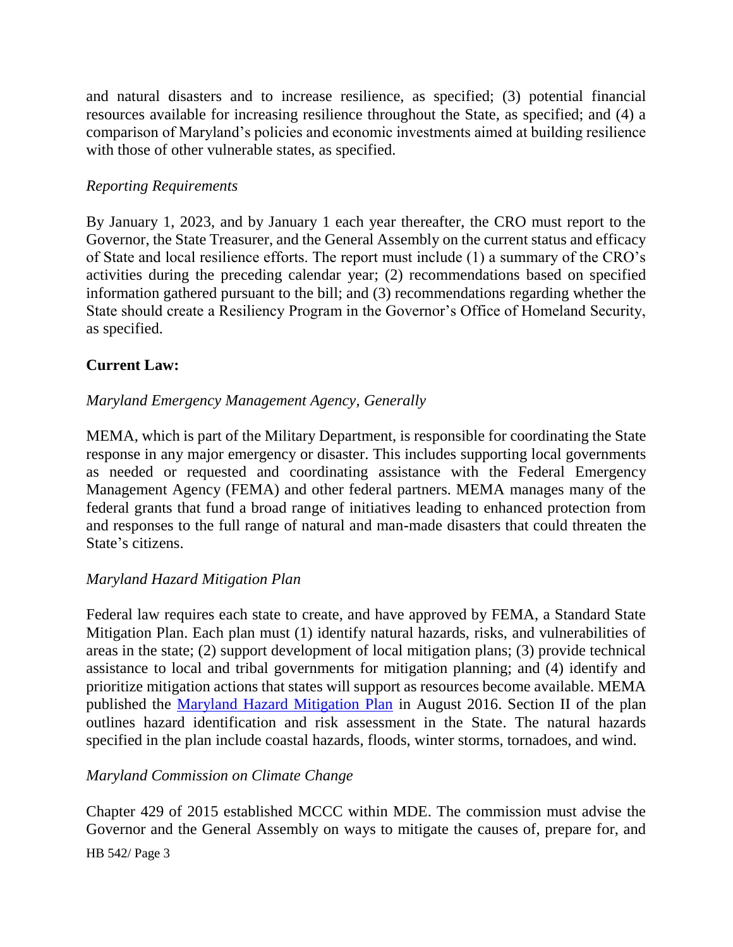and natural disasters and to increase resilience, as specified; (3) potential financial resources available for increasing resilience throughout the State, as specified; and (4) a comparison of Maryland's policies and economic investments aimed at building resilience with those of other vulnerable states, as specified.

#### *Reporting Requirements*

By January 1, 2023, and by January 1 each year thereafter, the CRO must report to the Governor, the State Treasurer, and the General Assembly on the current status and efficacy of State and local resilience efforts. The report must include (1) a summary of the CRO's activities during the preceding calendar year; (2) recommendations based on specified information gathered pursuant to the bill; and (3) recommendations regarding whether the State should create a Resiliency Program in the Governor's Office of Homeland Security, as specified.

## **Current Law:**

## *Maryland Emergency Management Agency, Generally*

MEMA, which is part of the Military Department, is responsible for coordinating the State response in any major emergency or disaster. This includes supporting local governments as needed or requested and coordinating assistance with the Federal Emergency Management Agency (FEMA) and other federal partners. MEMA manages many of the federal grants that fund a broad range of initiatives leading to enhanced protection from and responses to the full range of natural and man-made disasters that could threaten the State's citizens.

## *Maryland Hazard Mitigation Plan*

Federal law requires each state to create, and have approved by FEMA, a Standard State Mitigation Plan. Each plan must (1) identify natural hazards, risks, and vulnerabilities of areas in the state; (2) support development of local mitigation plans; (3) provide technical assistance to local and tribal governments for mitigation planning; and (4) identify and prioritize mitigation actions that states will support as resources become available. MEMA published the [Maryland Hazard Mitigation Plan](https://mema.maryland.gov/community/Documents/2016_Maryland_Hazard_Mitigation_Plan_final_2.pdf) in August 2016. Section II of the plan outlines hazard identification and risk assessment in the State. The natural hazards specified in the plan include coastal hazards, floods, winter storms, tornadoes, and wind.

## *Maryland Commission on Climate Change*

Chapter 429 of 2015 established MCCC within MDE. The commission must advise the Governor and the General Assembly on ways to mitigate the causes of, prepare for, and

HB 542/ Page 3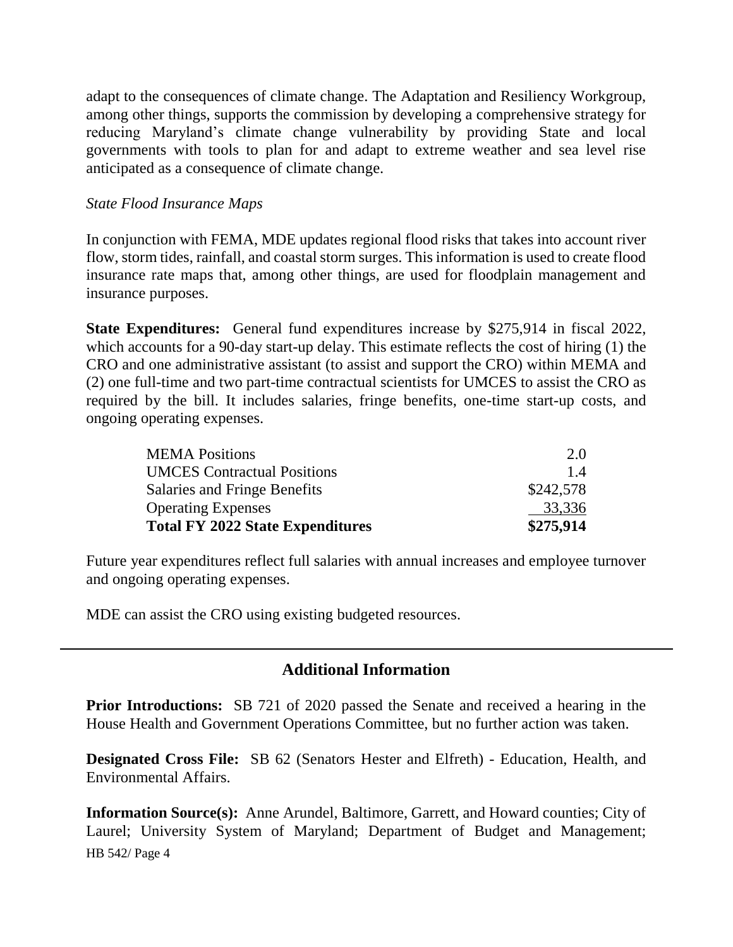adapt to the consequences of climate change. The Adaptation and Resiliency Workgroup, among other things, supports the commission by developing a comprehensive strategy for reducing Maryland's climate change vulnerability by providing State and local governments with tools to plan for and adapt to extreme weather and sea level rise anticipated as a consequence of climate change.

#### *State Flood Insurance Maps*

In conjunction with FEMA, MDE updates regional flood risks that takes into account river flow, storm tides, rainfall, and coastal storm surges. This information is used to create flood insurance rate maps that, among other things, are used for floodplain management and insurance purposes.

**State Expenditures:** General fund expenditures increase by \$275,914 in fiscal 2022, which accounts for a 90-day start-up delay. This estimate reflects the cost of hiring (1) the CRO and one administrative assistant (to assist and support the CRO) within MEMA and (2) one full-time and two part-time contractual scientists for UMCES to assist the CRO as required by the bill. It includes salaries, fringe benefits, one-time start-up costs, and ongoing operating expenses.

| <b>MEMA</b> Positions                   | 2.0       |
|-----------------------------------------|-----------|
| <b>UMCES</b> Contractual Positions      | 1.4       |
| Salaries and Fringe Benefits            | \$242,578 |
| <b>Operating Expenses</b>               | 33,336    |
| <b>Total FY 2022 State Expenditures</b> | \$275,914 |

Future year expenditures reflect full salaries with annual increases and employee turnover and ongoing operating expenses.

MDE can assist the CRO using existing budgeted resources.

## **Additional Information**

**Prior Introductions:** SB 721 of 2020 passed the Senate and received a hearing in the House Health and Government Operations Committee, but no further action was taken.

**Designated Cross File:** SB 62 (Senators Hester and Elfreth) - Education, Health, and Environmental Affairs.

HB 542/ Page 4 **Information Source(s):** Anne Arundel, Baltimore, Garrett, and Howard counties; City of Laurel; University System of Maryland; Department of Budget and Management;